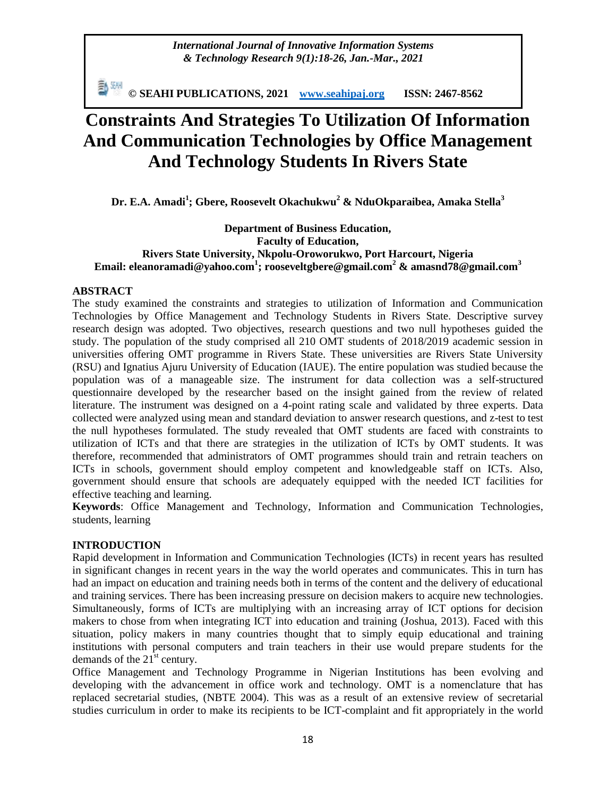*International Journal of Innovative Information Systems & Technology Research 9(1):18-26, Jan.-Mar., 2021*

**© SEAHI PUBLICATIONS, 2021 [www.seahipaj.org](http://www.seahipaj.org/) ISSN: 2467-8562**

# **Constraints And Strategies To Utilization Of Information And Communication Technologies by Office Management And Technology Students In Rivers State**

**Dr. E.A. Amadi<sup>1</sup> ; Gbere, Roosevelt Okachukwu<sup>2</sup> & NduOkparaibea, Amaka Stella<sup>3</sup>**

### **Department of Business Education, Faculty of Education, Rivers State University, Nkpolu-Oroworukwo, Port Harcourt, Nigeria Email: [eleanoramadi@yahoo.com](mailto:eleanoramadi@yahoo.com)<sup>1</sup> ; [rooseveltgbere@gmail.com](mailto:rooseveltgbere@gmail.com)<sup>2</sup> & amasnd78@gmail.com<sup>3</sup>**

#### **ABSTRACT**

The study examined the constraints and strategies to utilization of Information and Communication Technologies by Office Management and Technology Students in Rivers State. Descriptive survey research design was adopted. Two objectives, research questions and two null hypotheses guided the study. The population of the study comprised all 210 OMT students of 2018/2019 academic session in universities offering OMT programme in Rivers State. These universities are Rivers State University (RSU) and Ignatius Ajuru University of Education (IAUE). The entire population was studied because the population was of a manageable size. The instrument for data collection was a self-structured questionnaire developed by the researcher based on the insight gained from the review of related literature. The instrument was designed on a 4-point rating scale and validated by three experts. Data collected were analyzed using mean and standard deviation to answer research questions, and z-test to test the null hypotheses formulated. The study revealed that OMT students are faced with constraints to utilization of ICTs and that there are strategies in the utilization of ICTs by OMT students. It was therefore, recommended that administrators of OMT programmes should train and retrain teachers on ICTs in schools, government should employ competent and knowledgeable staff on ICTs. Also, government should ensure that schools are adequately equipped with the needed ICT facilities for effective teaching and learning.

**Keywords**: Office Management and Technology, Information and Communication Technologies, students, learning

#### **INTRODUCTION**

Rapid development in Information and Communication Technologies (ICTs) in recent years has resulted in significant changes in recent years in the way the world operates and communicates. This in turn has had an impact on education and training needs both in terms of the content and the delivery of educational and training services. There has been increasing pressure on decision makers to acquire new technologies. Simultaneously, forms of ICTs are multiplying with an increasing array of ICT options for decision makers to chose from when integrating ICT into education and training (Joshua, 2013). Faced with this situation, policy makers in many countries thought that to simply equip educational and training institutions with personal computers and train teachers in their use would prepare students for the demands of the  $21<sup>st</sup>$  century.

Office Management and Technology Programme in Nigerian Institutions has been evolving and developing with the advancement in office work and technology. OMT is a nomenclature that has replaced secretarial studies, (NBTE 2004). This was as a result of an extensive review of secretarial studies curriculum in order to make its recipients to be ICT-complaint and fit appropriately in the world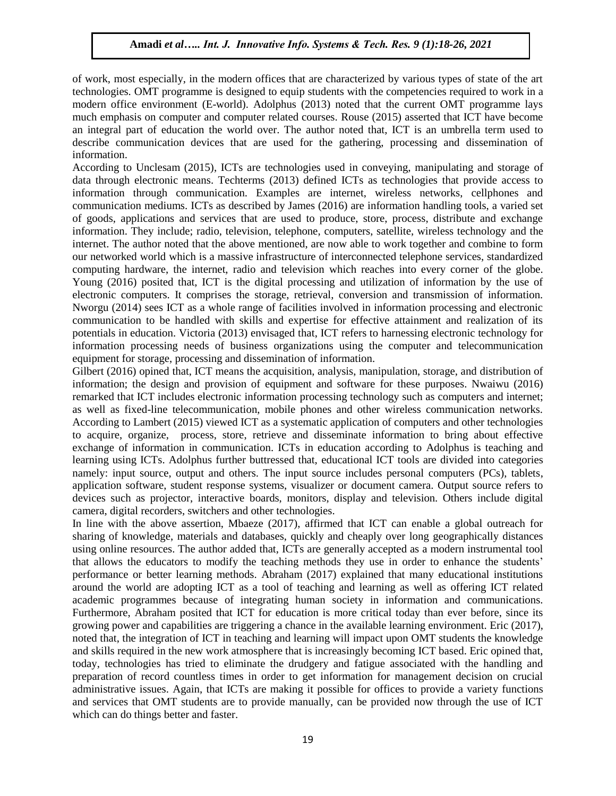of work, most especially, in the modern offices that are characterized by various types of state of the art technologies. OMT programme is designed to equip students with the competencies required to work in a modern office environment (E-world). Adolphus (2013) noted that the current OMT programme lays much emphasis on computer and computer related courses. Rouse (2015) asserted that ICT have become an integral part of education the world over. The author noted that, ICT is an umbrella term used to describe communication devices that are used for the gathering, processing and dissemination of information.

According to Unclesam (2015), ICTs are technologies used in conveying, manipulating and storage of data through electronic means. Techterms (2013) defined ICTs as technologies that provide access to information through communication. Examples are internet, wireless networks, cellphones and communication mediums. ICTs as described by James (2016) are information handling tools, a varied set of goods, applications and services that are used to produce, store, process, distribute and exchange information. They include; radio, television, telephone, computers, satellite, wireless technology and the internet. The author noted that the above mentioned, are now able to work together and combine to form our networked world which is a massive infrastructure of interconnected telephone services, standardized computing hardware, the internet, radio and television which reaches into every corner of the globe. Young (2016) posited that, ICT is the digital processing and utilization of information by the use of electronic computers. It comprises the storage, retrieval, conversion and transmission of information. Nworgu (2014) sees ICT as a whole range of facilities involved in information processing and electronic communication to be handled with skills and expertise for effective attainment and realization of its potentials in education. Victoria (2013) envisaged that, ICT refers to harnessing electronic technology for information processing needs of business organizations using the computer and telecommunication equipment for storage, processing and dissemination of information.

Gilbert (2016) opined that, ICT means the acquisition, analysis, manipulation, storage, and distribution of information; the design and provision of equipment and software for these purposes. Nwaiwu (2016) remarked that ICT includes electronic information processing technology such as computers and internet; as well as fixed-line telecommunication, mobile phones and other wireless communication networks. According to Lambert (2015) viewed ICT as a systematic application of computers and other technologies to acquire, organize, process, store, retrieve and disseminate information to bring about effective exchange of information in communication. ICTs in education according to Adolphus is teaching and learning using ICTs. Adolphus further buttressed that, educational ICT tools are divided into categories namely: input source, output and others. The input source includes personal computers (PCs), tablets, application software, student response systems, visualizer or document camera. Output source refers to devices such as projector, interactive boards, monitors, display and television. Others include digital camera, digital recorders, switchers and other technologies.

In line with the above assertion, Mbaeze (2017), affirmed that ICT can enable a global outreach for sharing of knowledge, materials and databases, quickly and cheaply over long geographically distances using online resources. The author added that, ICTs are generally accepted as a modern instrumental tool that allows the educators to modify the teaching methods they use in order to enhance the students' performance or better learning methods. Abraham (2017) explained that many educational institutions around the world are adopting ICT as a tool of teaching and learning as well as offering ICT related academic programmes because of integrating human society in information and communications. Furthermore, Abraham posited that ICT for education is more critical today than ever before, since its growing power and capabilities are triggering a chance in the available learning environment. Eric (2017), noted that, the integration of ICT in teaching and learning will impact upon OMT students the knowledge and skills required in the new work atmosphere that is increasingly becoming ICT based. Eric opined that, today, technologies has tried to eliminate the drudgery and fatigue associated with the handling and preparation of record countless times in order to get information for management decision on crucial administrative issues. Again, that ICTs are making it possible for offices to provide a variety functions and services that OMT students are to provide manually, can be provided now through the use of ICT which can do things better and faster.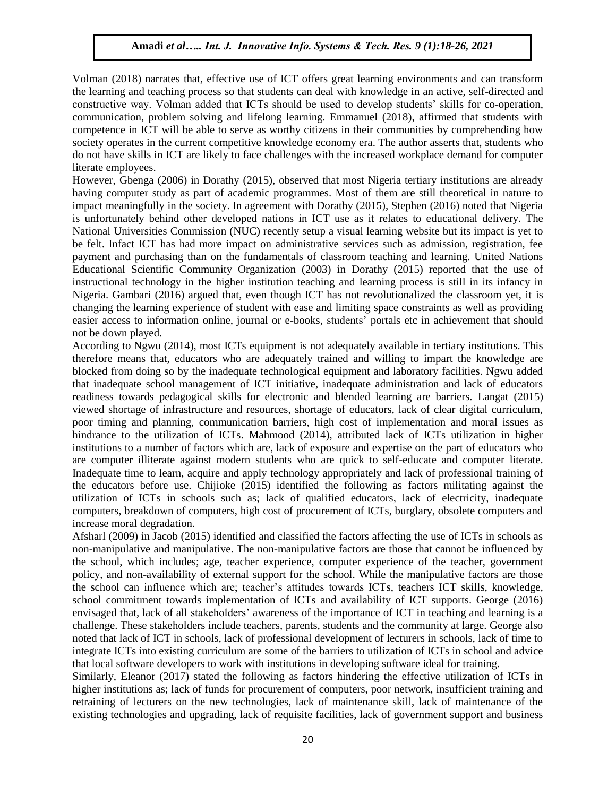Volman (2018) narrates that, effective use of ICT offers great learning environments and can transform the learning and teaching process so that students can deal with knowledge in an active, self-directed and constructive way. Volman added that ICTs should be used to develop students' skills for co-operation, communication, problem solving and lifelong learning. Emmanuel (2018), affirmed that students with competence in ICT will be able to serve as worthy citizens in their communities by comprehending how society operates in the current competitive knowledge economy era. The author asserts that, students who do not have skills in ICT are likely to face challenges with the increased workplace demand for computer literate employees.

However, Gbenga (2006) in Dorathy (2015), observed that most Nigeria tertiary institutions are already having computer study as part of academic programmes. Most of them are still theoretical in nature to impact meaningfully in the society. In agreement with Dorathy (2015), Stephen (2016) noted that Nigeria is unfortunately behind other developed nations in ICT use as it relates to educational delivery. The National Universities Commission (NUC) recently setup a visual learning website but its impact is yet to be felt. Infact ICT has had more impact on administrative services such as admission, registration, fee payment and purchasing than on the fundamentals of classroom teaching and learning. United Nations Educational Scientific Community Organization (2003) in Dorathy (2015) reported that the use of instructional technology in the higher institution teaching and learning process is still in its infancy in Nigeria. Gambari (2016) argued that, even though ICT has not revolutionalized the classroom yet, it is changing the learning experience of student with ease and limiting space constraints as well as providing easier access to information online, journal or e-books, students' portals etc in achievement that should not be down played.

According to Ngwu (2014), most ICTs equipment is not adequately available in tertiary institutions. This therefore means that, educators who are adequately trained and willing to impart the knowledge are blocked from doing so by the inadequate technological equipment and laboratory facilities. Ngwu added that inadequate school management of ICT initiative, inadequate administration and lack of educators readiness towards pedagogical skills for electronic and blended learning are barriers. Langat (2015) viewed shortage of infrastructure and resources, shortage of educators, lack of clear digital curriculum, poor timing and planning, communication barriers, high cost of implementation and moral issues as hindrance to the utilization of ICTs. Mahmood (2014), attributed lack of ICTs utilization in higher institutions to a number of factors which are, lack of exposure and expertise on the part of educators who are computer illiterate against modern students who are quick to self-educate and computer literate. Inadequate time to learn, acquire and apply technology appropriately and lack of professional training of the educators before use. Chijioke (2015) identified the following as factors militating against the utilization of ICTs in schools such as; lack of qualified educators, lack of electricity, inadequate computers, breakdown of computers, high cost of procurement of ICTs, burglary, obsolete computers and increase moral degradation.

Afsharl (2009) in Jacob (2015) identified and classified the factors affecting the use of ICTs in schools as non-manipulative and manipulative. The non-manipulative factors are those that cannot be influenced by the school, which includes; age, teacher experience, computer experience of the teacher, government policy, and non-availability of external support for the school. While the manipulative factors are those the school can influence which are; teacher's attitudes towards ICTs, teachers ICT skills, knowledge, school commitment towards implementation of ICTs and availability of ICT supports. George (2016) envisaged that, lack of all stakeholders' awareness of the importance of ICT in teaching and learning is a challenge. These stakeholders include teachers, parents, students and the community at large. George also noted that lack of ICT in schools, lack of professional development of lecturers in schools, lack of time to integrate ICTs into existing curriculum are some of the barriers to utilization of ICTs in school and advice that local software developers to work with institutions in developing software ideal for training.

Similarly, Eleanor (2017) stated the following as factors hindering the effective utilization of ICTs in higher institutions as; lack of funds for procurement of computers, poor network, insufficient training and retraining of lecturers on the new technologies, lack of maintenance skill, lack of maintenance of the existing technologies and upgrading, lack of requisite facilities, lack of government support and business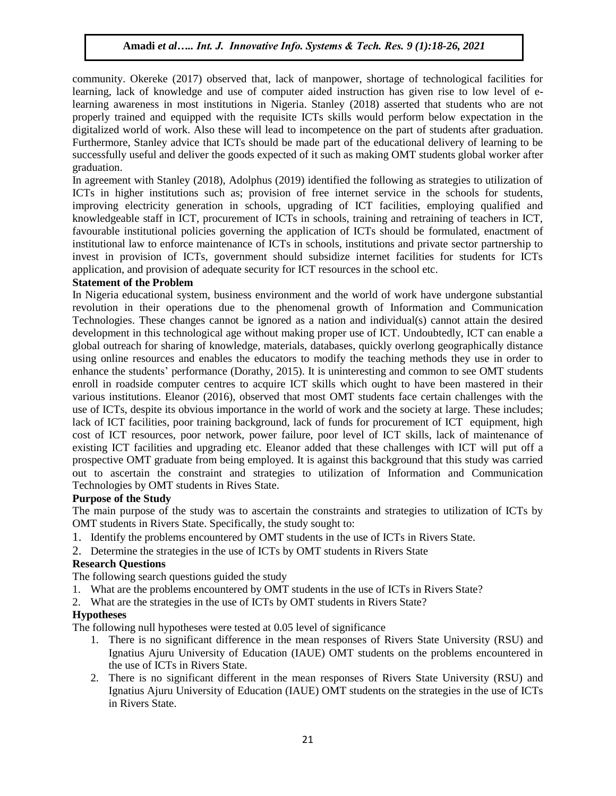community. Okereke (2017) observed that, lack of manpower, shortage of technological facilities for learning, lack of knowledge and use of computer aided instruction has given rise to low level of elearning awareness in most institutions in Nigeria. Stanley (2018) asserted that students who are not properly trained and equipped with the requisite ICTs skills would perform below expectation in the digitalized world of work. Also these will lead to incompetence on the part of students after graduation. Furthermore, Stanley advice that ICTs should be made part of the educational delivery of learning to be successfully useful and deliver the goods expected of it such as making OMT students global worker after graduation.

In agreement with Stanley (2018), Adolphus (2019) identified the following as strategies to utilization of ICTs in higher institutions such as; provision of free internet service in the schools for students, improving electricity generation in schools, upgrading of ICT facilities, employing qualified and knowledgeable staff in ICT, procurement of ICTs in schools, training and retraining of teachers in ICT, favourable institutional policies governing the application of ICTs should be formulated, enactment of institutional law to enforce maintenance of ICTs in schools, institutions and private sector partnership to invest in provision of ICTs, government should subsidize internet facilities for students for ICTs application, and provision of adequate security for ICT resources in the school etc.

#### **Statement of the Problem**

In Nigeria educational system, business environment and the world of work have undergone substantial revolution in their operations due to the phenomenal growth of Information and Communication Technologies. These changes cannot be ignored as a nation and individual(s) cannot attain the desired development in this technological age without making proper use of ICT. Undoubtedly, ICT can enable a global outreach for sharing of knowledge, materials, databases, quickly overlong geographically distance using online resources and enables the educators to modify the teaching methods they use in order to enhance the students' performance (Dorathy, 2015). It is uninteresting and common to see OMT students enroll in roadside computer centres to acquire ICT skills which ought to have been mastered in their various institutions. Eleanor (2016), observed that most OMT students face certain challenges with the use of ICTs, despite its obvious importance in the world of work and the society at large. These includes; lack of ICT facilities, poor training background, lack of funds for procurement of ICT equipment, high cost of ICT resources, poor network, power failure, poor level of ICT skills, lack of maintenance of existing ICT facilities and upgrading etc. Eleanor added that these challenges with ICT will put off a prospective OMT graduate from being employed. It is against this background that this study was carried out to ascertain the constraint and strategies to utilization of Information and Communication Technologies by OMT students in Rives State.

#### **Purpose of the Study**

The main purpose of the study was to ascertain the constraints and strategies to utilization of ICTs by OMT students in Rivers State. Specifically, the study sought to:

- 1. Identify the problems encountered by OMT students in the use of ICTs in Rivers State.
- 2. Determine the strategies in the use of ICTs by OMT students in Rivers State

# **Research Questions**

- The following search questions guided the study
- 1. What are the problems encountered by OMT students in the use of ICTs in Rivers State?
- 2. What are the strategies in the use of ICTs by OMT students in Rivers State?

#### **Hypotheses**

The following null hypotheses were tested at 0.05 level of significance

- 1. There is no significant difference in the mean responses of Rivers State University (RSU) and Ignatius Ajuru University of Education (IAUE) OMT students on the problems encountered in the use of ICTs in Rivers State.
- 2. There is no significant different in the mean responses of Rivers State University (RSU) and Ignatius Ajuru University of Education (IAUE) OMT students on the strategies in the use of ICTs in Rivers State.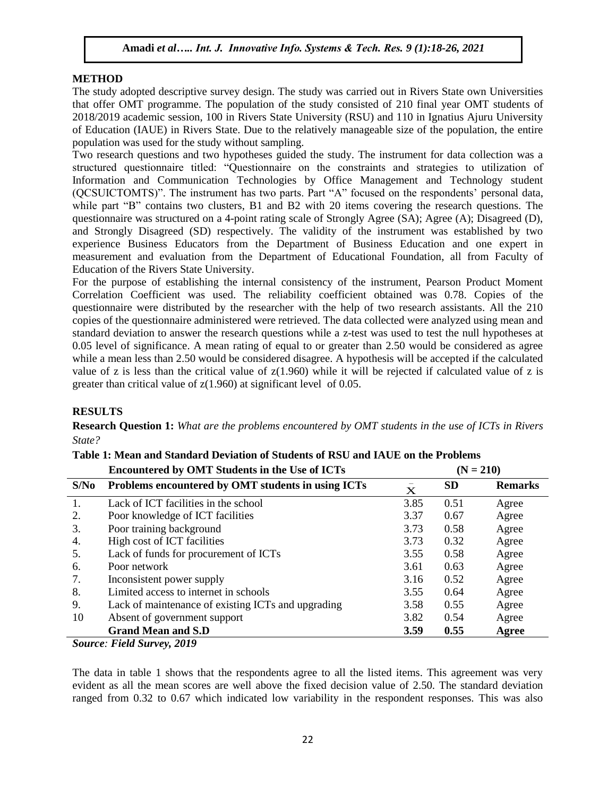#### **METHOD**

The study adopted descriptive survey design. The study was carried out in Rivers State own Universities that offer OMT programme. The population of the study consisted of 210 final year OMT students of 2018/2019 academic session, 100 in Rivers State University (RSU) and 110 in Ignatius Ajuru University of Education (IAUE) in Rivers State. Due to the relatively manageable size of the population, the entire population was used for the study without sampling.

Two research questions and two hypotheses guided the study. The instrument for data collection was a structured questionnaire titled: "Questionnaire on the constraints and strategies to utilization of Information and Communication Technologies by Office Management and Technology student (QCSUICTOMTS)". The instrument has two parts. Part "A" focused on the respondents' personal data, while part "B" contains two clusters, B1 and B2 with 20 items covering the research questions. The questionnaire was structured on a 4-point rating scale of Strongly Agree (SA); Agree (A); Disagreed (D), and Strongly Disagreed (SD) respectively. The validity of the instrument was established by two experience Business Educators from the Department of Business Education and one expert in measurement and evaluation from the Department of Educational Foundation, all from Faculty of Education of the Rivers State University.

For the purpose of establishing the internal consistency of the instrument, Pearson Product Moment Correlation Coefficient was used. The reliability coefficient obtained was 0.78. Copies of the questionnaire were distributed by the researcher with the help of two research assistants. All the 210 copies of the questionnaire administered were retrieved. The data collected were analyzed using mean and standard deviation to answer the research questions while a z-test was used to test the null hypotheses at 0.05 level of significance. A mean rating of equal to or greater than 2.50 would be considered as agree while a mean less than 2.50 would be considered disagree. A hypothesis will be accepted if the calculated value of z is less than the critical value of  $z(1.960)$  while it will be rejected if calculated value of z is greater than critical value of z(1.960) at significant level of 0.05.

#### **RESULTS**

**Research Question 1:** *What are the problems encountered by OMT students in the use of ICTs in Rivers State?*

|      | Encountered by ONLI Students in the Ose of ICTs    | $U = 4101$  |           |                |  |  |  |
|------|----------------------------------------------------|-------------|-----------|----------------|--|--|--|
| S/No | Problems encountered by OMT students in using ICTs | $\mathbf X$ | <b>SD</b> | <b>Remarks</b> |  |  |  |
| 1.   | Lack of ICT facilities in the school               | 3.85        | 0.51      | Agree          |  |  |  |
| 2.   | Poor knowledge of ICT facilities                   | 3.37        | 0.67      | Agree          |  |  |  |
| 3.   | Poor training background                           | 3.73        | 0.58      | Agree          |  |  |  |
| 4.   | High cost of ICT facilities                        | 3.73        | 0.32      | Agree          |  |  |  |
| 5.   | Lack of funds for procurement of ICTs              | 3.55        | 0.58      | Agree          |  |  |  |
| 6.   | Poor network                                       | 3.61        | 0.63      | Agree          |  |  |  |
| 7.   | Inconsistent power supply                          | 3.16        | 0.52      | Agree          |  |  |  |
| 8.   | Limited access to internet in schools              | 3.55        | 0.64      | Agree          |  |  |  |
| 9.   | Lack of maintenance of existing ICTs and upgrading | 3.58        | 0.55      | Agree          |  |  |  |
| 10   | Absent of government support                       | 3.82        | 0.54      | Agree          |  |  |  |
|      | <b>Grand Mean and S.D</b>                          | 3.59        | 0.55      | Agree          |  |  |  |
|      | $\alpha$ and $\alpha$<br>$T'$ iia aain             |             |           |                |  |  |  |

#### **Table 1: Mean and Standard Deviation of Students of RSU and IAUE on the Problems Encountered by OMT Students in the Use of ICTs**  $(N - 210)$

*Source: Field Survey, 2019*

The data in table 1 shows that the respondents agree to all the listed items. This agreement was very evident as all the mean scores are well above the fixed decision value of 2.50. The standard deviation ranged from 0.32 to 0.67 which indicated low variability in the respondent responses. This was also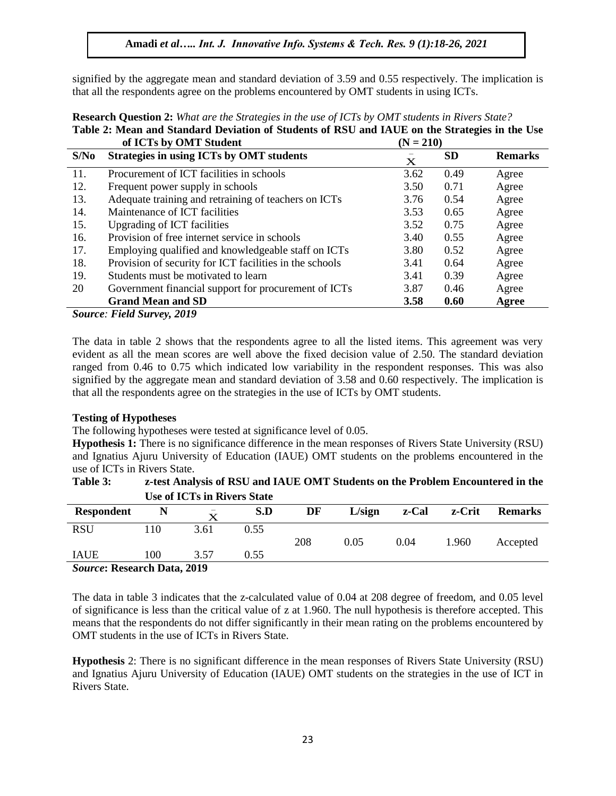signified by the aggregate mean and standard deviation of 3.59 and 0.55 respectively. The implication is that all the respondents agree on the problems encountered by OMT students in using ICTs.

|      | of ICTs by OMT Student                                  | $(N = 210)$ |           |                |
|------|---------------------------------------------------------|-------------|-----------|----------------|
| S/No | <b>Strategies in using ICTs by OMT students</b>         | $\mathbf X$ | <b>SD</b> | <b>Remarks</b> |
| 11.  | Procurement of ICT facilities in schools                | 3.62        | 0.49      | Agree          |
| 12.  | Frequent power supply in schools                        | 3.50        | 0.71      | Agree          |
| 13.  | Adequate training and retraining of teachers on ICTs    | 3.76        | 0.54      | Agree          |
| 14.  | Maintenance of ICT facilities                           | 3.53        | 0.65      | Agree          |
| 15.  | <b>Upgrading of ICT facilities</b>                      | 3.52        | 0.75      | Agree          |
| 16.  | Provision of free internet service in schools           | 3.40        | 0.55      | Agree          |
| 17.  | Employing qualified and knowledgeable staff on ICTs     | 3.80        | 0.52      | Agree          |
| 18.  | Provision of security for ICT facilities in the schools | 3.41        | 0.64      | Agree          |
| 19.  | Students must be motivated to learn                     | 3.41        | 0.39      | Agree          |
| 20   | Government financial support for procurement of ICTs    | 3.87        | 0.46      | Agree          |
|      | <b>Grand Mean and SD</b>                                | 3.58        | 0.60      | Agree          |
|      |                                                         |             |           |                |

**Research Question 2:** *What are the Strategies in the use of ICTs by OMT students in Rivers State?* **Table 2: Mean and Standard Deviation of Students of RSU and IAUE on the Strategies in the Use** 

*Source: Field Survey, 2019*

The data in table 2 shows that the respondents agree to all the listed items. This agreement was very evident as all the mean scores are well above the fixed decision value of 2.50. The standard deviation ranged from 0.46 to 0.75 which indicated low variability in the respondent responses. This was also signified by the aggregate mean and standard deviation of 3.58 and 0.60 respectively. The implication is that all the respondents agree on the strategies in the use of ICTs by OMT students.

#### **Testing of Hypotheses**

The following hypotheses were tested at significance level of 0.05.

**Hypothesis 1:** There is no significance difference in the mean responses of Rivers State University (RSU) and Ignatius Ajuru University of Education (IAUE) OMT students on the problems encountered in the use of ICTs in Rivers State.

| Table 3: | z-test Analysis of RSU and IAUE OMT Students on the Problem Encountered in the |
|----------|--------------------------------------------------------------------------------|
|          | Use of ICTs in Rivers State                                                    |

| <b>Respondent</b>                  |     | $\overline{\phantom{a}}$<br>X | S.D  | DF  | L/sign | z-Cal | z-Crit | <b>Remarks</b> |
|------------------------------------|-----|-------------------------------|------|-----|--------|-------|--------|----------------|
| <b>RSU</b>                         | 110 | 3.61                          | 0.55 | 208 | 0.05   | 0.04  | 1.960  | Accepted       |
| <b>IAUE</b>                        | 100 | 3.57                          | 0.55 |     |        |       |        |                |
| <b>Source: Research Data, 2019</b> |     |                               |      |     |        |       |        |                |

The data in table 3 indicates that the z-calculated value of 0.04 at 208 degree of freedom, and 0.05 level of significance is less than the critical value of z at 1.960. The null hypothesis is therefore accepted. This means that the respondents do not differ significantly in their mean rating on the problems encountered by OMT students in the use of ICTs in Rivers State.

**Hypothesis** 2: There is no significant difference in the mean responses of Rivers State University (RSU) and Ignatius Ajuru University of Education (IAUE) OMT students on the strategies in the use of ICT in Rivers State.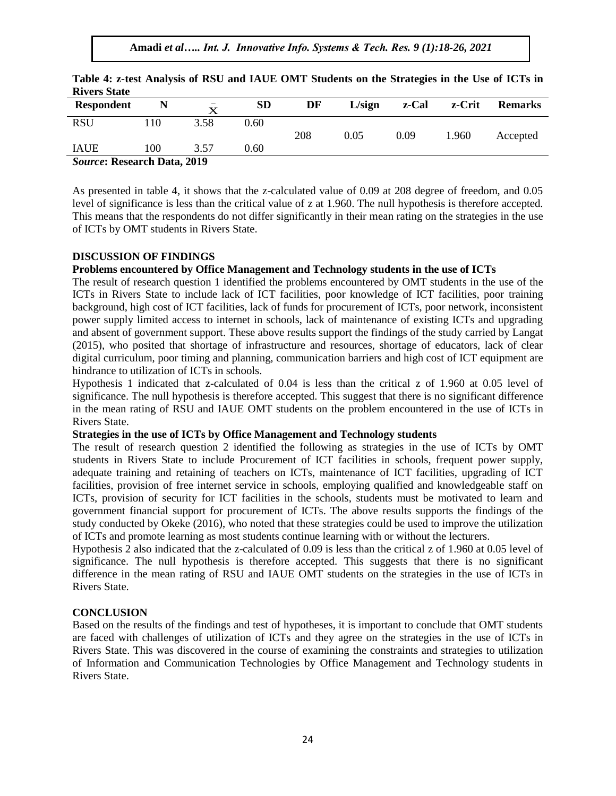**Amadi** *et al….. Int. J. Innovative Info. Systems & Tech. Res. 9 (1):18-26, 2021*

| IMBO DUAN         |                   |                                         |      |     |        |       |        |                |  |
|-------------------|-------------------|-----------------------------------------|------|-----|--------|-------|--------|----------------|--|
| <b>Respondent</b> |                   | $\overline{\phantom{a}}$<br>$\mathbf x$ | SD   | DF  | L/sign | z-Cal | z-Crit | <b>Remarks</b> |  |
| <b>RSU</b>        | $10^{-1}$         | 3.58                                    | 0.60 |     |        |       |        |                |  |
|                   |                   |                                         |      | 208 | 0.05   | 0.09  | 1.960  | Accepted       |  |
| <b>IAUE</b>       | 100               | 3.57                                    | 0.60 |     |        |       |        |                |  |
|                   | $\alpha$ n in and |                                         |      |     |        |       |        |                |  |

**Table 4: z-test Analysis of RSU and IAUE OMT Students on the Strategies in the Use of ICTs in Rivers State**

*Source***: Research Data, 2019**

As presented in table 4, it shows that the z-calculated value of 0.09 at 208 degree of freedom, and 0.05 level of significance is less than the critical value of z at 1.960. The null hypothesis is therefore accepted. This means that the respondents do not differ significantly in their mean rating on the strategies in the use of ICTs by OMT students in Rivers State.

#### **DISCUSSION OF FINDINGS**

# **Problems encountered by Office Management and Technology students in the use of ICTs**

The result of research question 1 identified the problems encountered by OMT students in the use of the ICTs in Rivers State to include lack of ICT facilities, poor knowledge of ICT facilities, poor training background, high cost of ICT facilities, lack of funds for procurement of ICTs, poor network, inconsistent power supply limited access to internet in schools, lack of maintenance of existing ICTs and upgrading and absent of government support. These above results support the findings of the study carried by Langat (2015), who posited that shortage of infrastructure and resources, shortage of educators, lack of clear digital curriculum, poor timing and planning, communication barriers and high cost of ICT equipment are hindrance to utilization of ICTs in schools.

Hypothesis 1 indicated that z-calculated of 0.04 is less than the critical z of 1.960 at 0.05 level of significance. The null hypothesis is therefore accepted. This suggest that there is no significant difference in the mean rating of RSU and IAUE OMT students on the problem encountered in the use of ICTs in Rivers State.

#### **Strategies in the use of ICTs by Office Management and Technology students**

The result of research question 2 identified the following as strategies in the use of ICTs by OMT students in Rivers State to include Procurement of ICT facilities in schools, frequent power supply, adequate training and retaining of teachers on ICTs, maintenance of ICT facilities, upgrading of ICT facilities, provision of free internet service in schools, employing qualified and knowledgeable staff on ICTs, provision of security for ICT facilities in the schools, students must be motivated to learn and government financial support for procurement of ICTs. The above results supports the findings of the study conducted by Okeke (2016), who noted that these strategies could be used to improve the utilization of ICTs and promote learning as most students continue learning with or without the lecturers.

Hypothesis 2 also indicated that the z-calculated of 0.09 is less than the critical z of 1.960 at 0.05 level of significance. The null hypothesis is therefore accepted. This suggests that there is no significant difference in the mean rating of RSU and IAUE OMT students on the strategies in the use of ICTs in Rivers State.

# **CONCLUSION**

Based on the results of the findings and test of hypotheses, it is important to conclude that OMT students are faced with challenges of utilization of ICTs and they agree on the strategies in the use of ICTs in Rivers State. This was discovered in the course of examining the constraints and strategies to utilization of Information and Communication Technologies by Office Management and Technology students in Rivers State.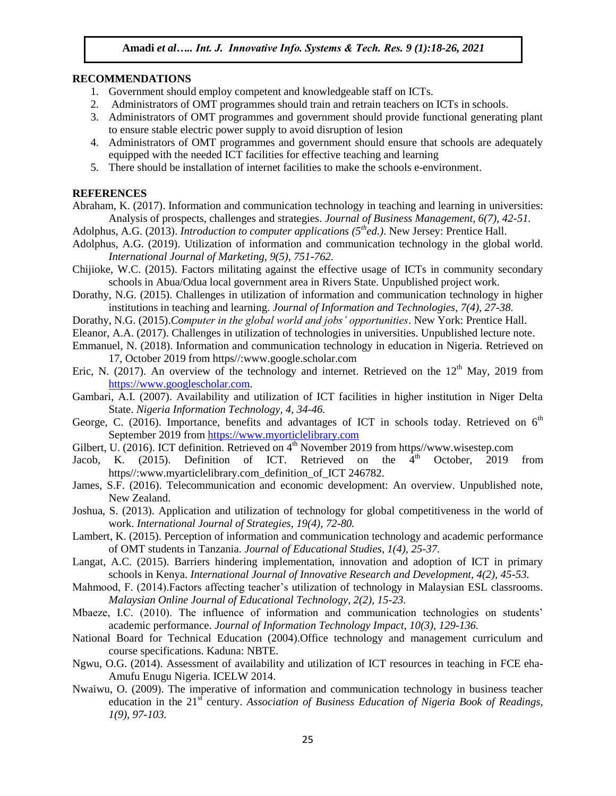#### **RECOMMENDATIONS**

- 1. Government should employ competent and knowledgeable staff on ICTs.
- 2. Administrators of OMT programmes should train and retrain teachers on ICTs in schools.
- 3. Administrators of OMT programmes and government should provide functional generating plant to ensure stable electric power supply to avoid disruption of lesion
- 4. Administrators of OMT programmes and government should ensure that schools are adequately equipped with the needed ICT facilities for effective teaching and learning
- 5. There should be installation of internet facilities to make the schools e-environment.

#### **REFERENCES**

- Abraham, K. (2017). Information and communication technology in teaching and learning in universities: Analysis of prospects, challenges and strategies. *Journal of Business Management, 6(7), 42-51.*
- Adolphus, A.G. (2013). *Introduction to computer applications (5thed.)*. New Jersey: Prentice Hall.
- Adolphus, A.G. (2019). Utilization of information and communication technology in the global world. *International Journal of Marketing, 9(5), 751-762.*
- Chijioke, W.C. (2015). Factors militating against the effective usage of ICTs in community secondary schools in Abua/Odua local government area in Rivers State. Unpublished project work.
- Dorathy, N.G. (2015). Challenges in utilization of information and communication technology in higher institutions in teaching and learning. *Journal of Information and Technologies, 7(4), 27-38.*
- Dorathy, N.G. (2015).*Computer in the global world and jobs' opportunities*. New York: Prentice Hall.
- Eleanor, A.A. (2017). Challenges in utilization of technologies in universities. Unpublished lecture note.
- Emmanuel, N. (2018). Information and communication technology in education in Nigeria. Retrieved on 17, October 2019 from https//:www.google.scholar.com
- Eric, N. (2017). An overview of the technology and internet. Retrieved on the  $12<sup>th</sup>$  May, 2019 from [https://www.googlescholar.com.](https://www.googlescholar.com/)
- Gambari, A.I. (2007). Availability and utilization of ICT facilities in higher institution in Niger Delta State. *Nigeria Information Technology, 4, 34-46.*
- George, C. (2016). Importance, benefits and advantages of ICT in schools today. Retrieved on  $6<sup>th</sup>$ September 2019 fro[m https://www.myorticlelibrary.com](https://www.myorticlelibrary.com/)
- Gilbert, U. (2016). ICT definition. Retrieved on 4<sup>th</sup> November 2019 from https//www.wisestep.com
- Jacob, K. (2015). Definition of ICT. Retrieved on the  $\overline{4}^{th}$  October, 2019 from https//:www.myarticlelibrary.com\_definition\_of\_ICT 246782.
- James, S.F. (2016). Telecommunication and economic development: An overview. Unpublished note, New Zealand.
- Joshua, S. (2013). Application and utilization of technology for global competitiveness in the world of work. *International Journal of Strategies, 19(4), 72-80.*
- Lambert, K. (2015). Perception of information and communication technology and academic performance of OMT students in Tanzania. *Journal of Educational Studies, 1(4), 25-37.*
- Langat, A.C. (2015). Barriers hindering implementation, innovation and adoption of ICT in primary schools in Kenya. *International Journal of Innovative Research and Development, 4(2), 45-53.*
- Mahmood, F. (2014).Factors affecting teacher's utilization of technology in Malaysian ESL classrooms. *Malaysian Online Journal of Educational Technology, 2(2), 15-23.*
- Mbaeze, I.C. (2010). The influence of information and communication technologies on students' academic performance. *Journal of Information Technology Impact, 10(3), 129-136.*
- National Board for Technical Education (2004).Office technology and management curriculum and course specifications. Kaduna: NBTE.
- Ngwu, O.G. (2014). Assessment of availability and utilization of ICT resources in teaching in FCE eha-Amufu Enugu Nigeria. ICELW 2014.
- Nwaiwu, O. (2009). The imperative of information and communication technology in business teacher education in the 21<sup>st</sup> century. *Association of Business Education of Nigeria Book of Readings, 1(9), 97-103.*